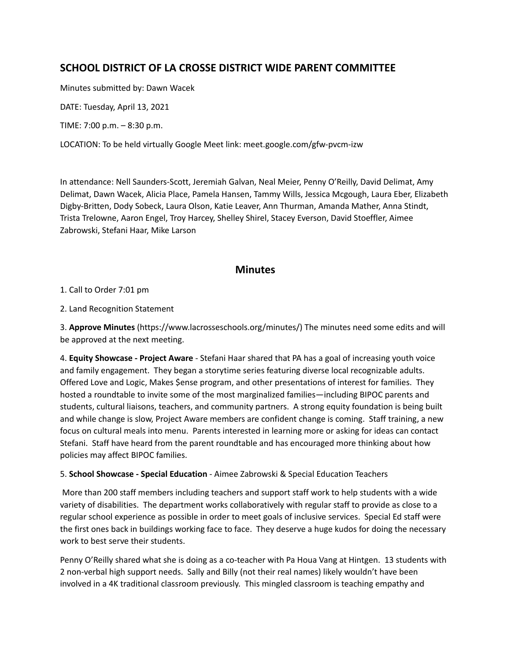# **SCHOOL DISTRICT OF LA CROSSE DISTRICT WIDE PARENT COMMITTEE**

Minutes submitted by: Dawn Wacek

DATE: Tuesday, April 13, 2021

TIME: 7:00 p.m. – 8:30 p.m.

LOCATION: To be held virtually Google Meet link: meet.google.com/gfw-pvcm-izw

In attendance: Nell Saunders-Scott, Jeremiah Galvan, Neal Meier, Penny O'Reilly, David Delimat, Amy Delimat, Dawn Wacek, Alicia Place, Pamela Hansen, Tammy Wills, Jessica Mcgough, Laura Eber, Elizabeth Digby-Britten, Dody Sobeck, Laura Olson, Katie Leaver, Ann Thurman, Amanda Mather, Anna Stindt, Trista Trelowne, Aaron Engel, Troy Harcey, Shelley Shirel, Stacey Everson, David Stoeffler, Aimee Zabrowski, Stefani Haar, Mike Larson

## **Minutes**

1. Call to Order 7:01 pm

2. Land Recognition Statement

3. **Approve Minutes** (https://www.lacrosseschools.org/minutes/) The minutes need some edits and will be approved at the next meeting.

4. **Equity Showcase - Project Aware** - Stefani Haar shared that PA has a goal of increasing youth voice and family engagement. They began a storytime series featuring diverse local recognizable adults. Offered Love and Logic, Makes \$ense program, and other presentations of interest for families. They hosted a roundtable to invite some of the most marginalized families—including BIPOC parents and students, cultural liaisons, teachers, and community partners. A strong equity foundation is being built and while change is slow, Project Aware members are confident change is coming. Staff training, a new focus on cultural meals into menu. Parents interested in learning more or asking for ideas can contact Stefani. Staff have heard from the parent roundtable and has encouraged more thinking about how policies may affect BIPOC families.

### 5. **School Showcase - Special Education** - Aimee Zabrowski & Special Education Teachers

More than 200 staff members including teachers and support staff work to help students with a wide variety of disabilities. The department works collaboratively with regular staff to provide as close to a regular school experience as possible in order to meet goals of inclusive services. Special Ed staff were the first ones back in buildings working face to face. They deserve a huge kudos for doing the necessary work to best serve their students.

Penny O'Reilly shared what she is doing as a co-teacher with Pa Houa Vang at Hintgen. 13 students with 2 non-verbal high support needs. Sally and Billy (not their real names) likely wouldn't have been involved in a 4K traditional classroom previously. This mingled classroom is teaching empathy and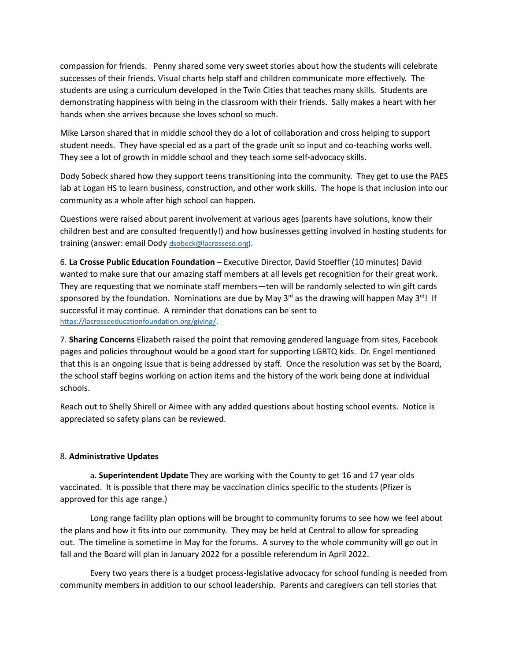compassion for friends. Penny shared some very sweet stories about how the students will celebrate successes of their friends. Visual charts help staff and children communicate more effectively. The students are using a curriculum developed in the Twin Cities that teaches many skills. Students are demonstrating happiness with being in the classroom with their friends. Sally makes a heart with her hands when she arrives because she loves school so much.

Mike Larson shared that in middle school they do a lot of collaboration and cross helping to support student needs. They have special ed as a part of the grade unit so input and co-teaching works well. They see a lot of growth in middle school and they teach some self-advocacy skills.

Dody Sobeck shared how they support teens transitioning into the community. They get to use the PAES lab at Logan HS to learn business, construction, and other work skills. The hope is that inclusion into our community as a whole after high school can happen.

Questions were raised about parent involvement at various ages (parents have solutions, know their children best and are consulted frequently!) and how businesses getting involved in hosting students for training (answer: email Dody [dsobeck@lacrossesd.org\)](mailto:dsobeck@lacrossesd.org).

6. **La Crosse Public Education Foundation** – Executive Director, David Stoeffler (10 minutes) David wanted to make sure that our amazing staff members at all levels get recognition for their great work. They are requesting that we nominate staff members—ten will be randomly selected to win gift cards sponsored by the foundation. Nominations are due by May 3<sup>rd</sup> as the drawing will happen May 3<sup>rd</sup>! If successful it may continue. A reminder that donations can be sent to <https://lacrosseeducationfoundation.org/giving/>.

7. **Sharing Concerns** Elizabeth raised the point that removing gendered language from sites, Facebook pages and policies throughout would be a good start for supporting LGBTQ kids. Dr. Engel mentioned that this is an ongoing issue that is being addressed by staff. Once the resolution was set by the Board, the school staff begins working on action items and the history of the work being done at individual schools.

Reach out to Shelly Shirell or Aimee with any added questions about hosting school events. Notice is appreciated so safety plans can be reviewed.

### 8. **Administrative Updates**

a. **Superintendent Update** They are working with the County to get 16 and 17 year olds vaccinated. It is possible that there may be vaccination clinics specific to the students (Pfizer is approved for this age range.)

Long range facility plan options will be brought to community forums to see how we feel about the plans and how it fits into our community. They may be held at Central to allow for spreading out. The timeline is sometime in May for the forums. A survey to the whole community will go out in fall and the Board will plan in January 2022 for a possible referendum in April 2022.

Every two years there is a budget process-legislative advocacy for school funding is needed from community members in addition to our school leadership. Parents and caregivers can tell stories that